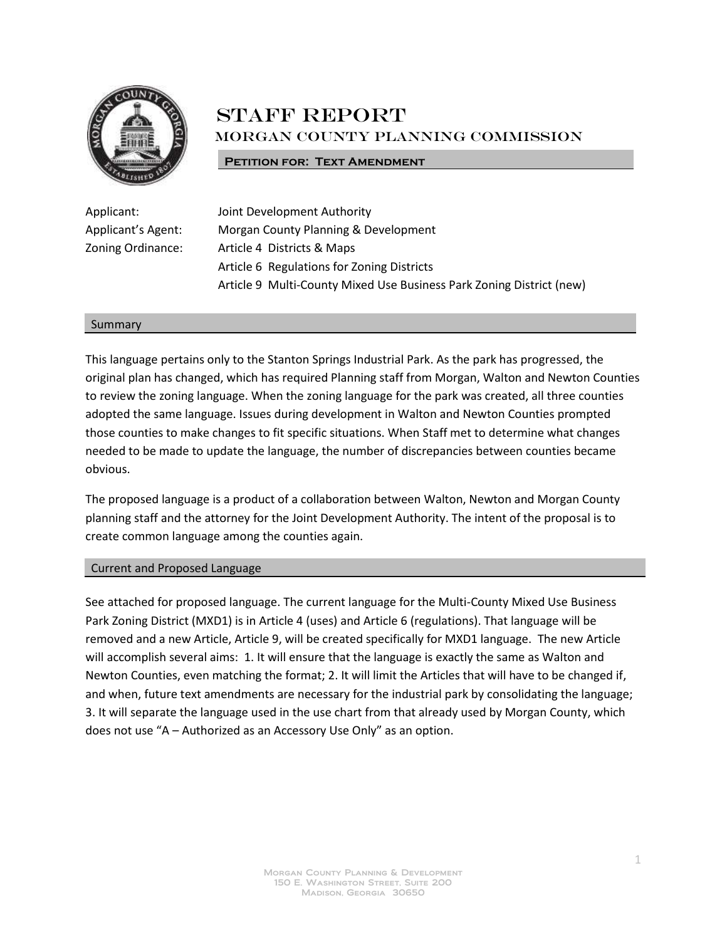

# **STAFF REPORT** Morgan County Planning Commission

#### **PETITION FOR: TEXT AMENDMENT**

Applicant: Joint Development Authority Applicant's Agent: Morgan County Planning & Development Zoning Ordinance: Article 4 Districts & Maps Article 6 Regulations for Zoning Districts Article 9 Multi-County Mixed Use Business Park Zoning District (new)

#### Summary

This language pertains only to the Stanton Springs Industrial Park. As the park has progressed, the original plan has changed, which has required Planning staff from Morgan, Walton and Newton Counties to review the zoning language. When the zoning language for the park was created, all three counties adopted the same language. Issues during development in Walton and Newton Counties prompted those counties to make changes to fit specific situations. When Staff met to determine what changes needed to be made to update the language, the number of discrepancies between counties became obvious.

The proposed language is a product of a collaboration between Walton, Newton and Morgan County planning staff and the attorney for the Joint Development Authority. The intent of the proposal is to create common language among the counties again.

#### Current and Proposed Language

See attached for proposed language. The current language for the Multi-County Mixed Use Business Park Zoning District (MXD1) is in Article 4 (uses) and Article 6 (regulations). That language will be removed and a new Article, Article 9, will be created specifically for MXD1 language. The new Article will accomplish several aims: 1. It will ensure that the language is exactly the same as Walton and Newton Counties, even matching the format; 2. It will limit the Articles that will have to be changed if, and when, future text amendments are necessary for the industrial park by consolidating the language; 3. It will separate the language used in the use chart from that already used by Morgan County, which does not use "A – Authorized as an Accessory Use Only" as an option.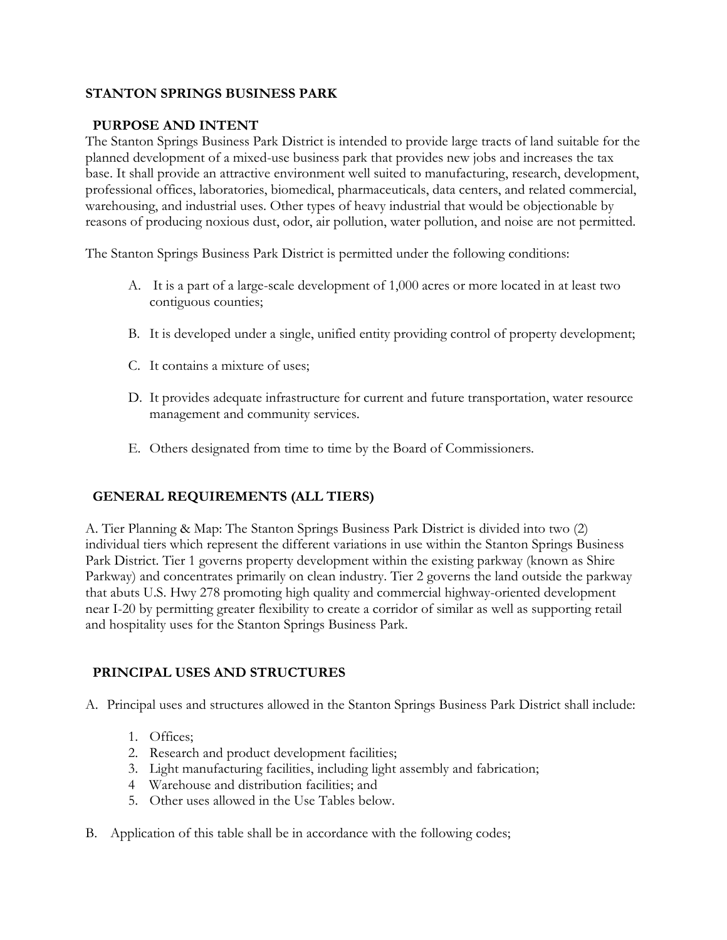## **STANTON SPRINGS BUSINESS PARK**

## **PURPOSE AND INTENT**

The Stanton Springs Business Park District is intended to provide large tracts of land suitable for the planned development of a mixed-use business park that provides new jobs and increases the tax base. It shall provide an attractive environment well suited to manufacturing, research, development, professional offices, laboratories, biomedical, pharmaceuticals, data centers, and related commercial, warehousing, and industrial uses. Other types of heavy industrial that would be objectionable by reasons of producing noxious dust, odor, air pollution, water pollution, and noise are not permitted.

The Stanton Springs Business Park District is permitted under the following conditions:

- A. It is a part of a large-scale development of 1,000 acres or more located in at least two contiguous counties;
- B. It is developed under a single, unified entity providing control of property development;
- C. It contains a mixture of uses;
- D. It provides adequate infrastructure for current and future transportation, water resource management and community services.
- E. Others designated from time to time by the Board of Commissioners.

# **GENERAL REQUIREMENTS (ALL TIERS)**

A. Tier Planning & Map: The Stanton Springs Business Park District is divided into two (2) individual tiers which represent the different variations in use within the Stanton Springs Business Park District. Tier 1 governs property development within the existing parkway (known as Shire Parkway) and concentrates primarily on clean industry. Tier 2 governs the land outside the parkway that abuts U.S. Hwy 278 promoting high quality and commercial highway-oriented development near I-20 by permitting greater flexibility to create a corridor of similar as well as supporting retail and hospitality uses for the Stanton Springs Business Park.

# **PRINCIPAL USES AND STRUCTURES**

A. Principal uses and structures allowed in the Stanton Springs Business Park District shall include:

- 1. Offices;
- 2. Research and product development facilities;
- 3. Light manufacturing facilities, including light assembly and fabrication;
- 4 Warehouse and distribution facilities; and
- 5. Other uses allowed in the Use Tables below.
- B. Application of this table shall be in accordance with the following codes;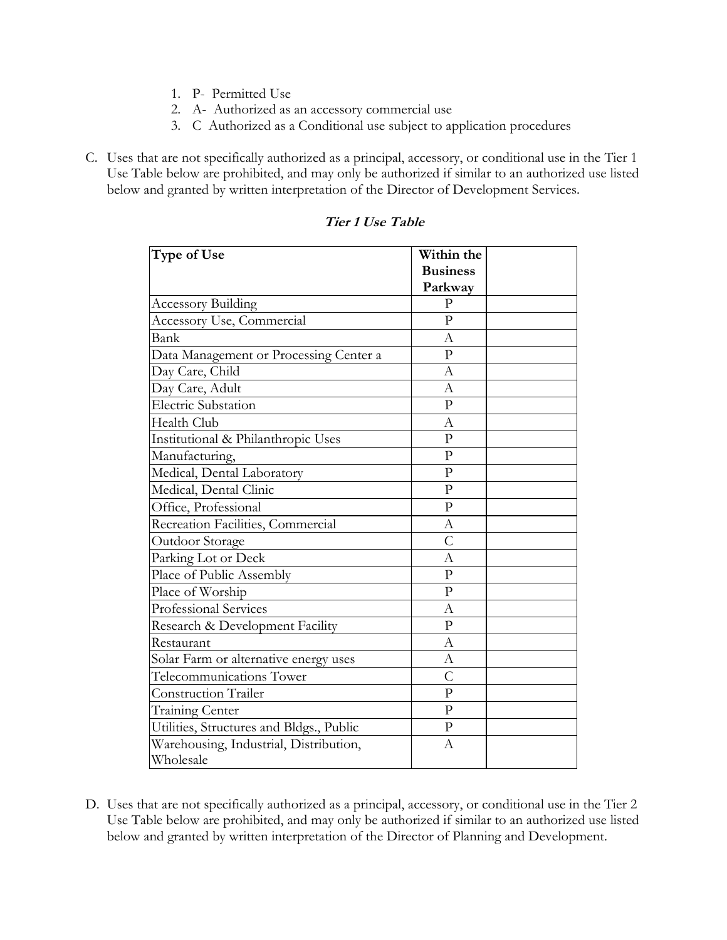- 1. P- Permitted Use
- 2. A- Authorized as an accessory commercial use
- 3. C Authorized as a Conditional use subject to application procedures
- C. Uses that are not specifically authorized as a principal, accessory, or conditional use in the Tier 1 Use Table below are prohibited, and may only be authorized if similar to an authorized use listed below and granted by written interpretation of the Director of Development Services.

| Type of Use                              | Within the      |  |
|------------------------------------------|-----------------|--|
|                                          | <b>Business</b> |  |
|                                          | Parkway         |  |
| <b>Accessory Building</b>                | $\mathbf{P}$    |  |
| Accessory Use, Commercial                | $\overline{P}$  |  |
| Bank                                     | А               |  |
| Data Management or Processing Center a   | $\overline{P}$  |  |
| Day Care, Child                          | А               |  |
| Day Care, Adult                          | А               |  |
| <b>Electric Substation</b>               | $\overline{P}$  |  |
| Health Club                              | $\mathbf{A}$    |  |
| Institutional & Philanthropic Uses       | $\mathbf{P}$    |  |
| Manufacturing,                           | $\overline{P}$  |  |
| Medical, Dental Laboratory               | $\overline{P}$  |  |
| Medical, Dental Clinic                   | $\overline{P}$  |  |
| Office, Professional                     | $\mathbf{p}$    |  |
| Recreation Facilities, Commercial        | А               |  |
| Outdoor Storage                          | $\mathcal{C}$   |  |
| Parking Lot or Deck                      | A               |  |
| Place of Public Assembly                 | $\overline{P}$  |  |
| Place of Worship                         | $\overline{P}$  |  |
| Professional Services                    | $\mathbf{A}$    |  |
| Research & Development Facility          | $\mathbf{p}$    |  |
| Restaurant                               | A               |  |
| Solar Farm or alternative energy uses    | А               |  |
| Telecommunications Tower                 | $\overline{C}$  |  |
| <b>Construction Trailer</b>              | $\overline{P}$  |  |
| <b>Training Center</b>                   | $\mathbf{p}$    |  |
| Utilities, Structures and Bldgs., Public | $\overline{P}$  |  |
| Warehousing, Industrial, Distribution,   | A               |  |
| Wholesale                                |                 |  |

**Tier 1 Use Table**

D. Uses that are not specifically authorized as a principal, accessory, or conditional use in the Tier 2 Use Table below are prohibited, and may only be authorized if similar to an authorized use listed below and granted by written interpretation of the Director of Planning and Development.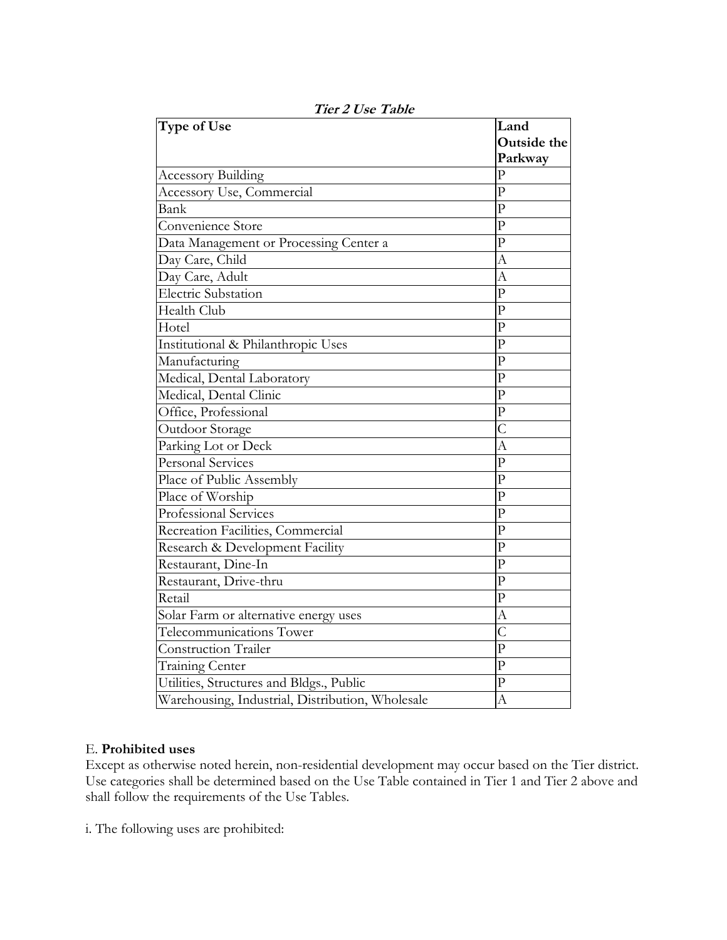| Type of Use                                      | Land                    |
|--------------------------------------------------|-------------------------|
|                                                  | Outside the             |
|                                                  | Parkway                 |
| <b>Accessory Building</b>                        | $\mathbf{p}$            |
| Accessory Use, Commercial                        | $\mathbf{p}$            |
| Bank                                             | $\overline{P}$          |
| Convenience Store                                | $\overline{P}$          |
| Data Management or Processing Center a           | $\overline{P}$          |
| Day Care, Child                                  | A                       |
| Day Care, Adult                                  | A                       |
| <b>Electric Substation</b>                       | $\overline{P}$          |
| Health Club                                      | $\overline{P}$          |
| Hotel                                            | $\overline{P}$          |
| Institutional & Philanthropic Uses               | $\overline{P}$          |
| Manufacturing                                    | $\mathbf{p}$            |
| Medical, Dental Laboratory                       | $\overline{P}$          |
| Medical, Dental Clinic                           | $\mathbf{p}$            |
| Office, Professional                             | $\overline{P}$          |
| Outdoor Storage                                  | $\overline{C}$          |
| Parking Lot or Deck                              | A                       |
| <b>Personal Services</b>                         | $\overline{\mathrm{P}}$ |
| Place of Public Assembly                         | $\overline{P}$          |
| Place of Worship                                 | $\overline{P}$          |
| Professional Services                            | $\overline{P}$          |
| Recreation Facilities, Commercial                | $\overline{P}$          |
| Research & Development Facility                  | $\overline{P}$          |
| Restaurant, Dine-In                              | $\mathbf{p}$            |
| Restaurant, Drive-thru                           | $\overline{P}$          |
| Retail                                           | $\overline{P}$          |
| Solar Farm or alternative energy uses            | А                       |
| Telecommunications Tower                         | $\overline{C}$          |
| <b>Construction Trailer</b>                      | $\overline{P}$          |
| <b>Training Center</b>                           | $\overline{P}$          |
| Utilities, Structures and Bldgs., Public         | $\mathbf{p}$            |
| Warehousing, Industrial, Distribution, Wholesale | $\overline{A}$          |

**Tier 2 Use Table**

#### E. **Prohibited uses**

Except as otherwise noted herein, non-residential development may occur based on the Tier district. Use categories shall be determined based on the Use Table contained in Tier 1 and Tier 2 above and shall follow the requirements of the Use Tables.

i. The following uses are prohibited: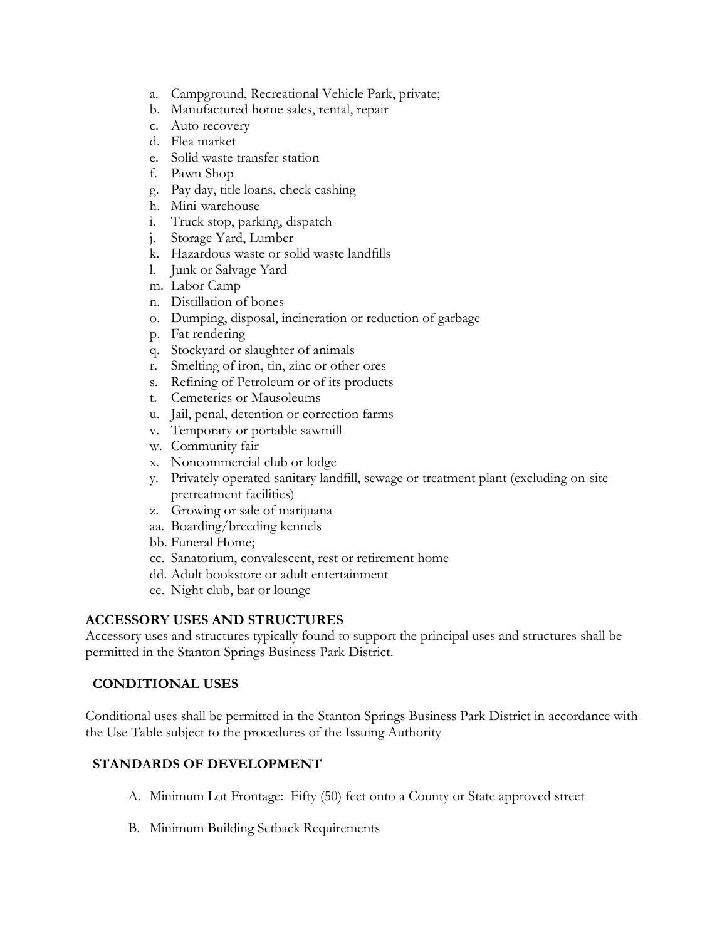- a. Campground, Recreational Vehicle Park, private;
- b. Manufactured home sales, rental, repair
- c. Auto recovery
- d. Flea market
- e. Solid waste transfer station
- f. Pawn Shop
- g. Pay day, title loans, check cashing
- h. Mini-warehouse
- i. Truck stop, parking, dispatch
- j. Storage Yard, Lumber
- k. Hazardous waste or solid waste landfills
- l. Junk or Salvage Yard
- m. Labor Camp
- n. Distillation of bones
- o. Dumping, disposal, incineration or reduction of garbage
- p. Fat rendering
- q. Stockyard or slaughter of animals
- r. Smelting of iron, tin, zinc or other ores
- s. Refining of Petroleum or of its products
- t. Cemeteries or Mausoleums
- u. Jail, penal, detention or correction farms
- v. Temporary or portable sawmill
- w. Community fair
- x. Noncommercial club or lodge
- y. Privately operated sanitary landfill, sewage or treatment plant (excluding on-site pretreatment facilities)
- z. Growing or sale of marijuana
- aa. Boarding/breeding kennels
- bb. Funeral Home;
- cc. Sanatorium, convalescent, rest or retirement home
- dd. Adult bookstore or adult entertainment
- ee. Night club, bar or lounge

## **ACCESSORY USES AND STRUCTURES**

Accessory uses and structures typically found to support the principal uses and structures shall be permitted in the Stanton Springs Business Park District.

## **CONDITIONAL USES**

Conditional uses shall be permitted in the Stanton Springs Business Park District in accordance with the Use Table subject to the procedures of the Issuing Authority

## **STANDARDS OF DEVELOPMENT**

- A. Minimum Lot Frontage: Fifty (50) feet onto a County or State approved street
- B. Minimum Building Setback Requirements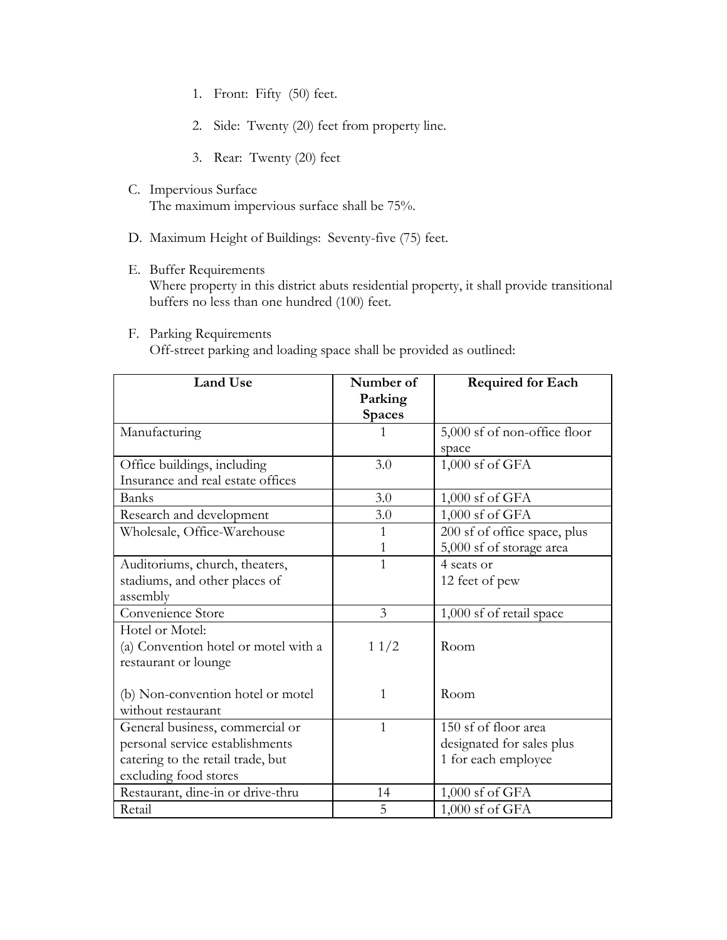- 1. Front: Fifty (50) feet.
- 2. Side: Twenty (20) feet from property line.
- 3. Rear: Twenty (20) feet
- C. Impervious Surface The maximum impervious surface shall be 75%.
- D. Maximum Height of Buildings: Seventy-five (75) feet.
- E. Buffer Requirements Where property in this district abuts residential property, it shall provide transitional buffers no less than one hundred (100) feet.
- F. Parking Requirements Off-street parking and loading space shall be provided as outlined:

| <b>Land Use</b>                                                                                                                  | Number of<br>Parking<br><b>Spaces</b> | <b>Required for Each</b>                                                 |
|----------------------------------------------------------------------------------------------------------------------------------|---------------------------------------|--------------------------------------------------------------------------|
| Manufacturing                                                                                                                    | 1                                     | 5,000 sf of non-office floor<br>space                                    |
| Office buildings, including<br>Insurance and real estate offices                                                                 | 3.0                                   | 1,000 sf of GFA                                                          |
| Banks                                                                                                                            | 3.0                                   | $1,000$ sf of GFA                                                        |
| Research and development                                                                                                         | 3.0                                   | 1,000 sf of GFA                                                          |
| Wholesale, Office-Warehouse                                                                                                      | 1<br>1                                | 200 sf of office space, plus<br>5,000 sf of storage area                 |
| Auditoriums, church, theaters,<br>stadiums, and other places of<br>assembly                                                      | $\mathbf{1}$                          | 4 seats or<br>12 feet of pew                                             |
| Convenience Store                                                                                                                | 3                                     | 1,000 sf of retail space                                                 |
| Hotel or Motel:<br>(a) Convention hotel or motel with a<br>restaurant or lounge                                                  | 11/2                                  | Room                                                                     |
| (b) Non-convention hotel or motel<br>without restaurant                                                                          | 1                                     | Room                                                                     |
| General business, commercial or<br>personal service establishments<br>catering to the retail trade, but<br>excluding food stores | $\mathbf{1}$                          | 150 sf of floor area<br>designated for sales plus<br>1 for each employee |
| Restaurant, dine-in or drive-thru                                                                                                | 14                                    | $1,000$ sf of GFA                                                        |
| Retail                                                                                                                           | 5                                     | $1,000$ sf of GFA                                                        |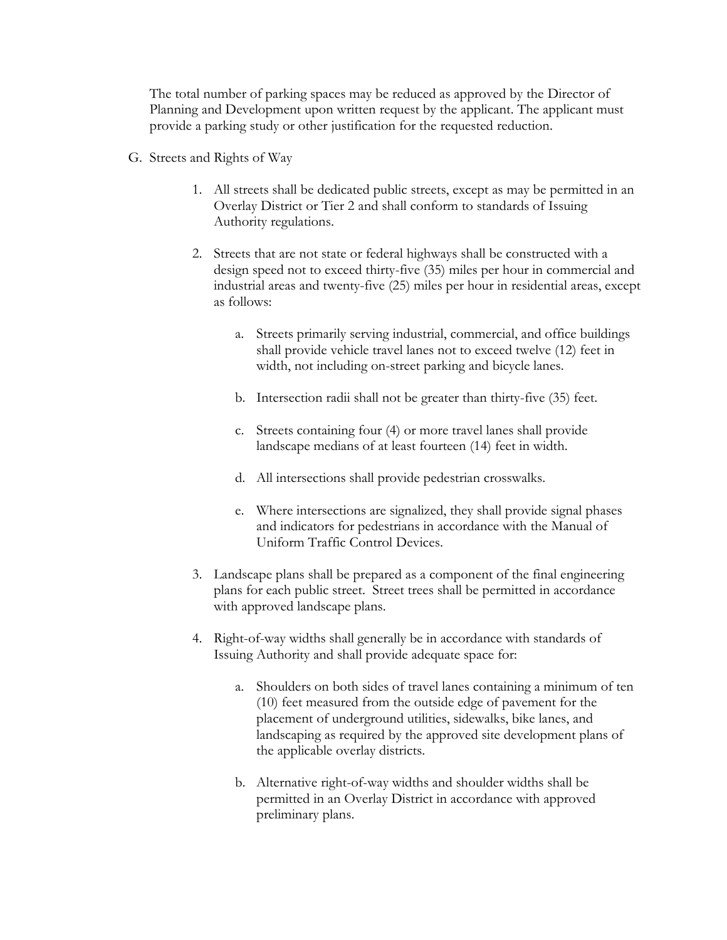The total number of parking spaces may be reduced as approved by the Director of Planning and Development upon written request by the applicant. The applicant must provide a parking study or other justification for the requested reduction.

- G. Streets and Rights of Way
	- 1. All streets shall be dedicated public streets, except as may be permitted in an Overlay District or Tier 2 and shall conform to standards of Issuing Authority regulations.
	- 2. Streets that are not state or federal highways shall be constructed with a design speed not to exceed thirty-five (35) miles per hour in commercial and industrial areas and twenty-five (25) miles per hour in residential areas, except as follows:
		- a. Streets primarily serving industrial, commercial, and office buildings shall provide vehicle travel lanes not to exceed twelve (12) feet in width, not including on-street parking and bicycle lanes.
		- b. Intersection radii shall not be greater than thirty-five (35) feet.
		- c. Streets containing four (4) or more travel lanes shall provide landscape medians of at least fourteen (14) feet in width.
		- d. All intersections shall provide pedestrian crosswalks.
		- e. Where intersections are signalized, they shall provide signal phases and indicators for pedestrians in accordance with the Manual of Uniform Traffic Control Devices.
	- 3. Landscape plans shall be prepared as a component of the final engineering plans for each public street. Street trees shall be permitted in accordance with approved landscape plans.
	- 4. Right-of-way widths shall generally be in accordance with standards of Issuing Authority and shall provide adequate space for:
		- a. Shoulders on both sides of travel lanes containing a minimum of ten (10) feet measured from the outside edge of pavement for the placement of underground utilities, sidewalks, bike lanes, and landscaping as required by the approved site development plans of the applicable overlay districts.
		- b. Alternative right-of-way widths and shoulder widths shall be permitted in an Overlay District in accordance with approved preliminary plans.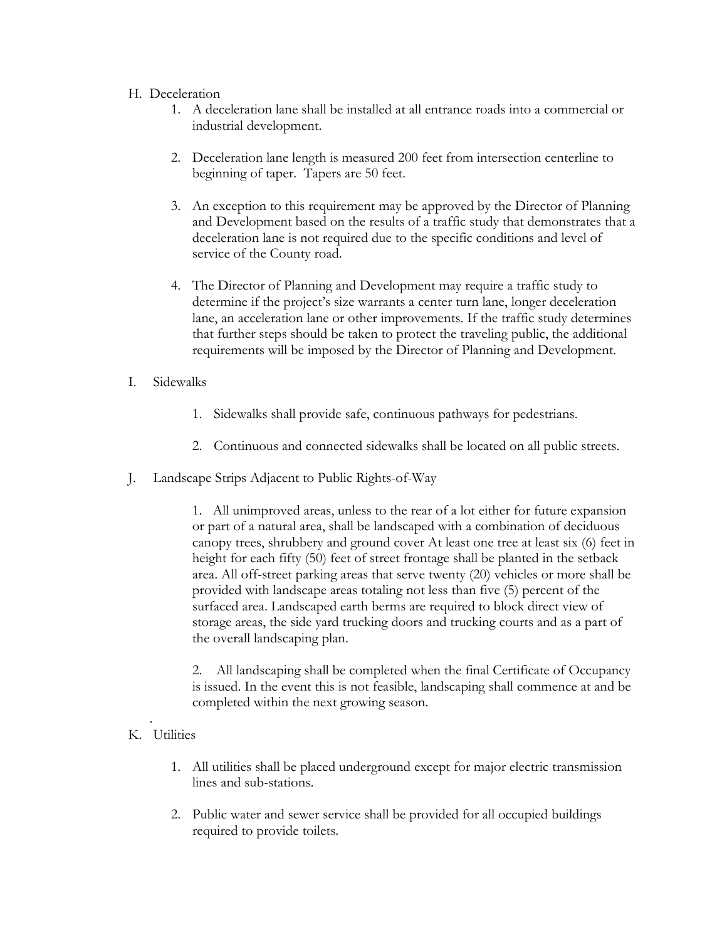## H. Deceleration

- 1. A deceleration lane shall be installed at all entrance roads into a commercial or industrial development.
- 2. Deceleration lane length is measured 200 feet from intersection centerline to beginning of taper. Tapers are 50 feet.
- 3. An exception to this requirement may be approved by the Director of Planning and Development based on the results of a traffic study that demonstrates that a deceleration lane is not required due to the specific conditions and level of service of the County road.
- 4. The Director of Planning and Development may require a traffic study to determine if the project's size warrants a center turn lane, longer deceleration lane, an acceleration lane or other improvements. If the traffic study determines that further steps should be taken to protect the traveling public, the additional requirements will be imposed by the Director of Planning and Development.
- I. Sidewalks
	- 1. Sidewalks shall provide safe, continuous pathways for pedestrians.
	- 2. Continuous and connected sidewalks shall be located on all public streets.
- J. Landscape Strips Adjacent to Public Rights-of-Way

1. All unimproved areas, unless to the rear of a lot either for future expansion or part of a natural area, shall be landscaped with a combination of deciduous canopy trees, shrubbery and ground cover At least one tree at least six (6) feet in height for each fifty (50) feet of street frontage shall be planted in the setback area. All off-street parking areas that serve twenty (20) vehicles or more shall be provided with landscape areas totaling not less than five (5) percent of the surfaced area. Landscaped earth berms are required to block direct view of storage areas, the side yard trucking doors and trucking courts and as a part of the overall landscaping plan.

2. All landscaping shall be completed when the final Certificate of Occupancy is issued. In the event this is not feasible, landscaping shall commence at and be completed within the next growing season.

#### . K. Utilities

- 1. All utilities shall be placed underground except for major electric transmission lines and sub-stations.
- 2. Public water and sewer service shall be provided for all occupied buildings required to provide toilets.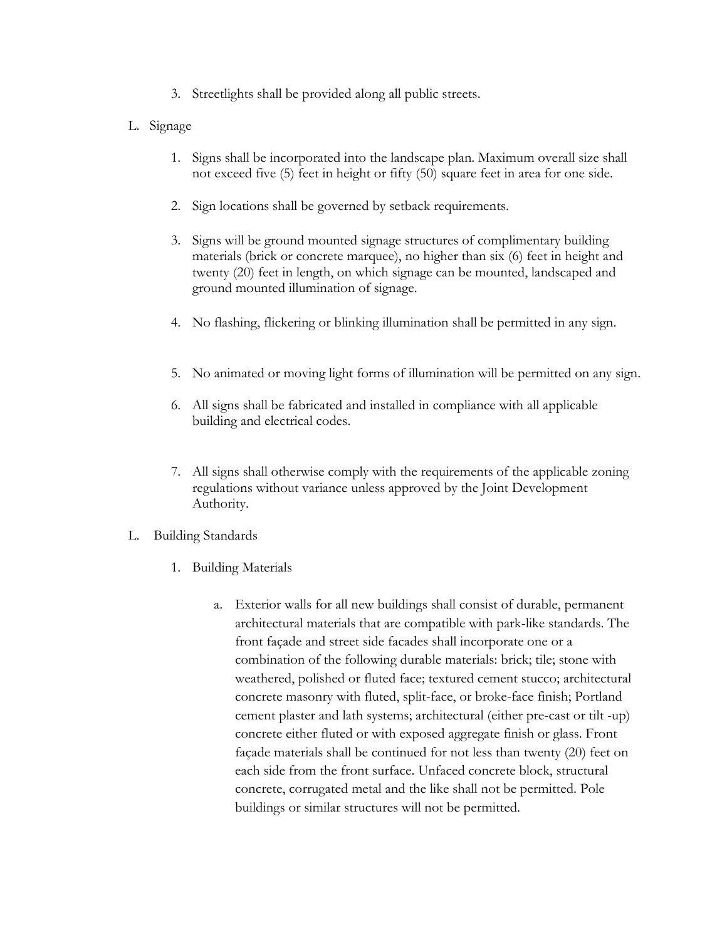- 3. Streetlights shall be provided along all public streets.
- L. Signage
	- 1. Signs shall be incorporated into the landscape plan. Maximum overall size shall not exceed five (5) feet in height or fifty (50) square feet in area for one side.
	- 2. Sign locations shall be governed by setback requirements.
	- 3. Signs will be ground mounted signage structures of complimentary building materials (brick or concrete marquee), no higher than six (6) feet in height and twenty (20) feet in length, on which signage can be mounted, landscaped and ground mounted illumination of signage.
	- 4. No flashing, flickering or blinking illumination shall be permitted in any sign.
	- 5. No animated or moving light forms of illumination will be permitted on any sign.
	- 6. All signs shall be fabricated and installed in compliance with all applicable building and electrical codes.
	- 7. All signs shall otherwise comply with the requirements of the applicable zoning regulations without variance unless approved by the Joint Development Authority.
- L. Building Standards
	- 1. Building Materials
		- a. Exterior walls for all new buildings shall consist of durable, permanent architectural materials that are compatible with park-like standards. The front façade and street side facades shall incorporate one or a combination of the following durable materials: brick; tile; stone with weathered, polished or fluted face; textured cement stucco; architectural concrete masonry with fluted, split-face, or broke-face finish; Portland cement plaster and lath systems; architectural (either pre-cast or tilt -up) concrete either fluted or with exposed aggregate finish or glass. Front façade materials shall be continued for not less than twenty (20) feet on each side from the front surface. Unfaced concrete block, structural concrete, corrugated metal and the like shall not be permitted. Pole buildings or similar structures will not be permitted.